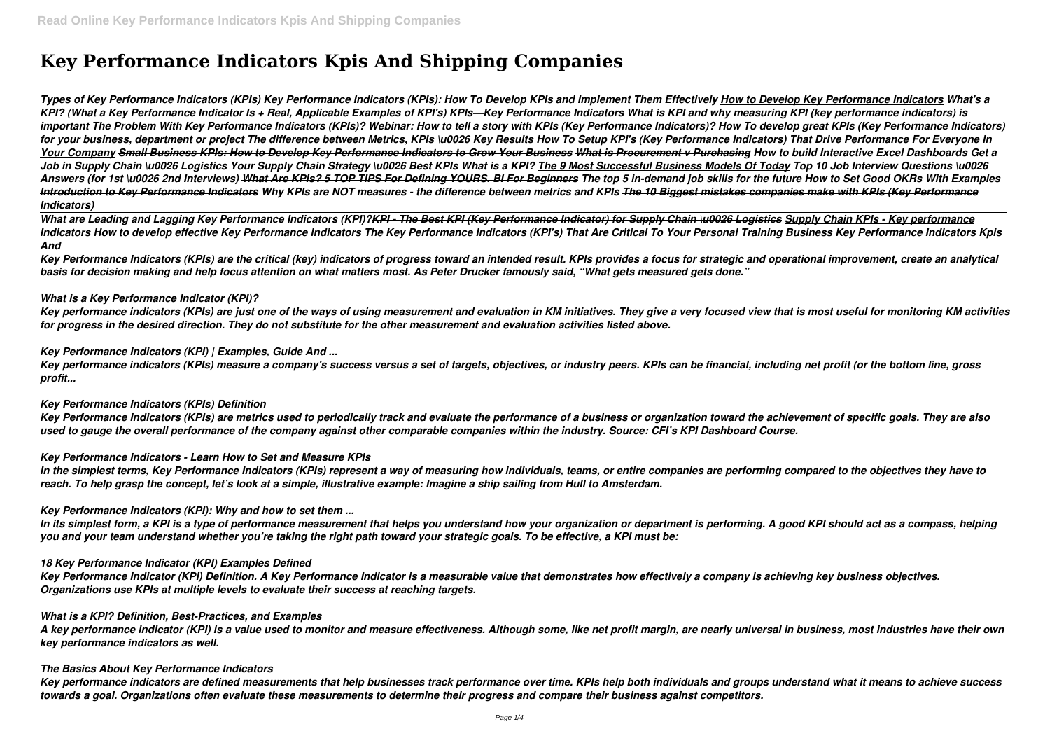# **Key Performance Indicators Kpis And Shipping Companies**

*Types of Key Performance Indicators (KPIs) Key Performance Indicators (KPIs): How To Develop KPIs and Implement Them Effectively How to Develop Key Performance Indicators What's a KPI? (What a Key Performance Indicator Is + Real, Applicable Examples of KPI's) KPIs—Key Performance Indicators What is KPI and why measuring KPI (key performance indicators) is important The Problem With Key Performance Indicators (KPIs)? Webinar: How to tell a story with KPIs (Key Performance Indicators)? How To develop great KPIs (Key Performance Indicators) for your business, department or project The difference between Metrics, KPIs \u0026 Key Results How To Setup KPI's (Key Performance Indicators) That Drive Performance For Everyone In Your Company Small Business KPIs: How to Develop Key Performance Indicators to Grow Your Business What is Procurement v Purchasing How to build Interactive Excel Dashboards Get a* Job in Supply Chain \u0026 Logistics Your Supply Chain Strategy \u0026 Best KPIs What is a KPI? The 9 Most Successful Business Models Of Today Top 10 Job Interview Questions \u0026 Answers (for 1st \u0026 2nd Interviews) What Are KPIs? 5 TOP TIPS For Defining YOURS. BI For Beginners The top 5 in-demand job skills for the future How to Set Good OKRs With Examples *Introduction to Key Performance Indicators Why KPIs are NOT measures - the difference between metrics and KPIs The 10 Biggest mistakes companies make with KPIs (Key Performance Indicators)*

*What are Leading and Lagging Key Performance Indicators (KPI)?KPI - The Best KPI (Key Performance Indicator) for Supply Chain \u0026 Logistics Supply Chain KPIs - Key performance Indicators How to develop effective Key Performance Indicators The Key Performance Indicators (KPI's) That Are Critical To Your Personal Training Business Key Performance Indicators Kpis And*

*Key Performance Indicators (KPIs) are the critical (key) indicators of progress toward an intended result. KPIs provides a focus for strategic and operational improvement, create an analytical basis for decision making and help focus attention on what matters most. As Peter Drucker famously said, "What gets measured gets done."*

## *What is a Key Performance Indicator (KPI)?*

*Key performance indicators (KPIs) are just one of the ways of using measurement and evaluation in KM initiatives. They give a very focused view that is most useful for monitoring KM activities for progress in the desired direction. They do not substitute for the other measurement and evaluation activities listed above.*

## *Key Performance Indicators (KPI) | Examples, Guide And ...*

*Key performance indicators (KPIs) measure a company's success versus a set of targets, objectives, or industry peers. KPIs can be financial, including net profit (or the bottom line, gross profit...*

## *Key Performance Indicators (KPIs) Definition*

*Key Performance Indicators (KPIs) are metrics used to periodically track and evaluate the performance of a business or organization toward the achievement of specific goals. They are also used to gauge the overall performance of the company against other comparable companies within the industry. Source: CFI's KPI Dashboard Course.*

#### *Key Performance Indicators - Learn How to Set and Measure KPIs*

*In the simplest terms, Key Performance Indicators (KPIs) represent a way of measuring how individuals, teams, or entire companies are performing compared to the objectives they have to reach. To help grasp the concept, let's look at a simple, illustrative example: Imagine a ship sailing from Hull to Amsterdam.*

#### *Key Performance Indicators (KPI): Why and how to set them ...*

*In its simplest form, a KPI is a type of performance measurement that helps you understand how your organization or department is performing. A good KPI should act as a compass, helping you and your team understand whether you're taking the right path toward your strategic goals. To be effective, a KPI must be:*

#### *18 Key Performance Indicator (KPI) Examples Defined*

*Key Performance Indicator (KPI) Definition. A Key Performance Indicator is a measurable value that demonstrates how effectively a company is achieving key business objectives. Organizations use KPIs at multiple levels to evaluate their success at reaching targets.*

#### *What is a KPI? Definition, Best-Practices, and Examples*

*A key performance indicator (KPI) is a value used to monitor and measure effectiveness. Although some, like net profit margin, are nearly universal in business, most industries have their own key performance indicators as well.*

#### *The Basics About Key Performance Indicators*

*Key performance indicators are defined measurements that help businesses track performance over time. KPIs help both individuals and groups understand what it means to achieve success towards a goal. Organizations often evaluate these measurements to determine their progress and compare their business against competitors.*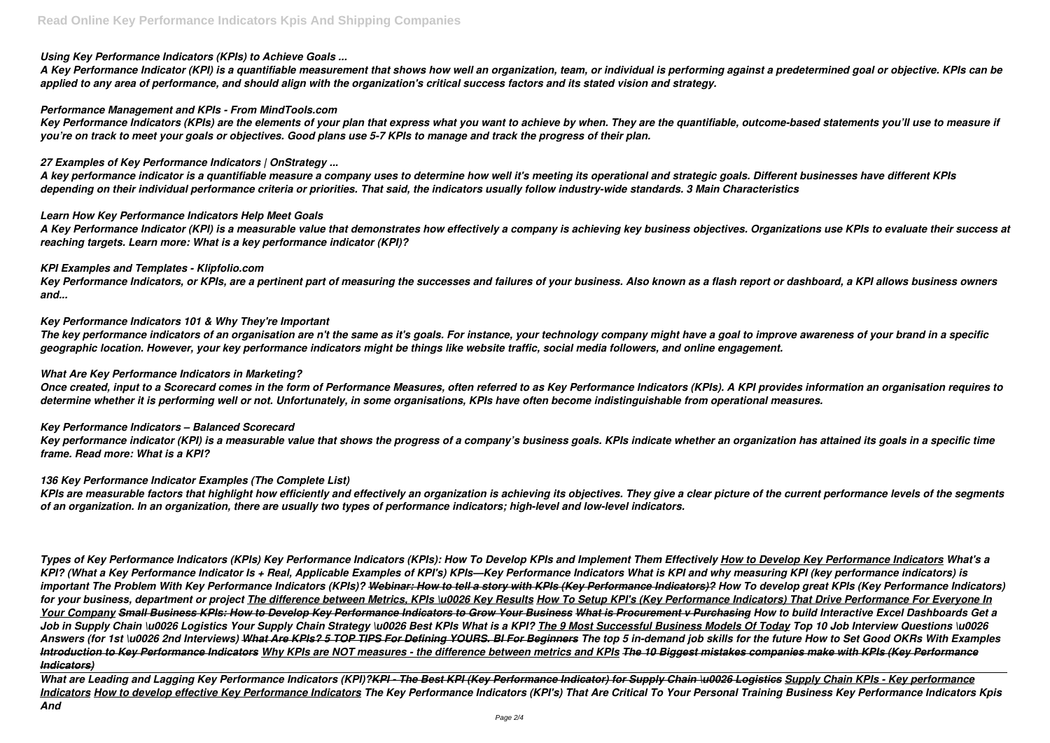## *Using Key Performance Indicators (KPIs) to Achieve Goals ...*

*A Key Performance Indicator (KPI) is a quantifiable measurement that shows how well an organization, team, or individual is performing against a predetermined goal or objective. KPIs can be applied to any area of performance, and should align with the organization's critical success factors and its stated vision and strategy.*

## *Performance Management and KPIs - From MindTools.com*

*Key Performance Indicators (KPIs) are the elements of your plan that express what you want to achieve by when. They are the quantifiable, outcome-based statements you'll use to measure if you're on track to meet your goals or objectives. Good plans use 5-7 KPIs to manage and track the progress of their plan.*

# *27 Examples of Key Performance Indicators | OnStrategy ...*

*A key performance indicator is a quantifiable measure a company uses to determine how well it's meeting its operational and strategic goals. Different businesses have different KPIs depending on their individual performance criteria or priorities. That said, the indicators usually follow industry-wide standards. 3 Main Characteristics*

## *Learn How Key Performance Indicators Help Meet Goals*

*A Key Performance Indicator (KPI) is a measurable value that demonstrates how effectively a company is achieving key business objectives. Organizations use KPIs to evaluate their success at reaching targets. Learn more: What is a key performance indicator (KPI)?*

## *KPI Examples and Templates - Klipfolio.com*

*Key Performance Indicators, or KPIs, are a pertinent part of measuring the successes and failures of your business. Also known as a flash report or dashboard, a KPI allows business owners and...*

# *Key Performance Indicators 101 & Why They're Important*

*The key performance indicators of an organisation are n't the same as it's goals. For instance, your technology company might have a goal to improve awareness of your brand in a specific geographic location. However, your key performance indicators might be things like website traffic, social media followers, and online engagement.*

## *What Are Key Performance Indicators in Marketing?*

*Once created, input to a Scorecard comes in the form of Performance Measures, often referred to as Key Performance Indicators (KPIs). A KPI provides information an organisation requires to determine whether it is performing well or not. Unfortunately, in some organisations, KPIs have often become indistinguishable from operational measures.*

## *Key Performance Indicators – Balanced Scorecard*

*Key performance indicator (KPI) is a measurable value that shows the progress of a company's business goals. KPIs indicate whether an organization has attained its goals in a specific time frame. Read more: What is a KPI?*

## *136 Key Performance Indicator Examples (The Complete List)*

*KPIs are measurable factors that highlight how efficiently and effectively an organization is achieving its objectives. They give a clear picture of the current performance levels of the segments of an organization. In an organization, there are usually two types of performance indicators; high-level and low-level indicators.*

*Types of Key Performance Indicators (KPIs) Key Performance Indicators (KPIs): How To Develop KPIs and Implement Them Effectively How to Develop Key Performance Indicators What's a* KPI? (What a Key Performance Indicator Is + Real, Applicable Examples of KPI's) KPIs—Key Performance Indicators What is KPI and why measuring KPI (key performance indicators) is *important The Problem With Key Performance Indicators (KPIs)? Webinar: How to tell a story with KPIs (Key Performance Indicators)? How To develop great KPIs (Key Performance Indicators) for your business, department or project The difference between Metrics, KPIs \u0026 Key Results How To Setup KPI's (Key Performance Indicators) That Drive Performance For Everyone In Your Company Small Business KPIs: How to Develop Key Performance Indicators to Grow Your Business What is Procurement v Purchasing How to build Interactive Excel Dashboards Get a Job in Supply Chain \u0026 Logistics Your Supply Chain Strategy \u0026 Best KPIs What is a KPI? The 9 Most Successful Business Models Of Today Top 10 Job Interview Questions \u0026* Answers (for 1st \u0026 2nd Interviews) What Are KPIs? 5 TOP TIPS For Defining YOURS. BI For Beginners The top 5 in-demand job skills for the future How to Set Good OKRs With Examples *Introduction to Key Performance Indicators Why KPIs are NOT measures - the difference between metrics and KPIs The 10 Biggest mistakes companies make with KPIs (Key Performance Indicators)*

*What are Leading and Lagging Key Performance Indicators (KPI)?KPI - The Best KPI (Key Performance Indicator) for Supply Chain \u0026 Logistics Supply Chain KPIs - Key performance Indicators How to develop effective Key Performance Indicators The Key Performance Indicators (KPI's) That Are Critical To Your Personal Training Business Key Performance Indicators Kpis And*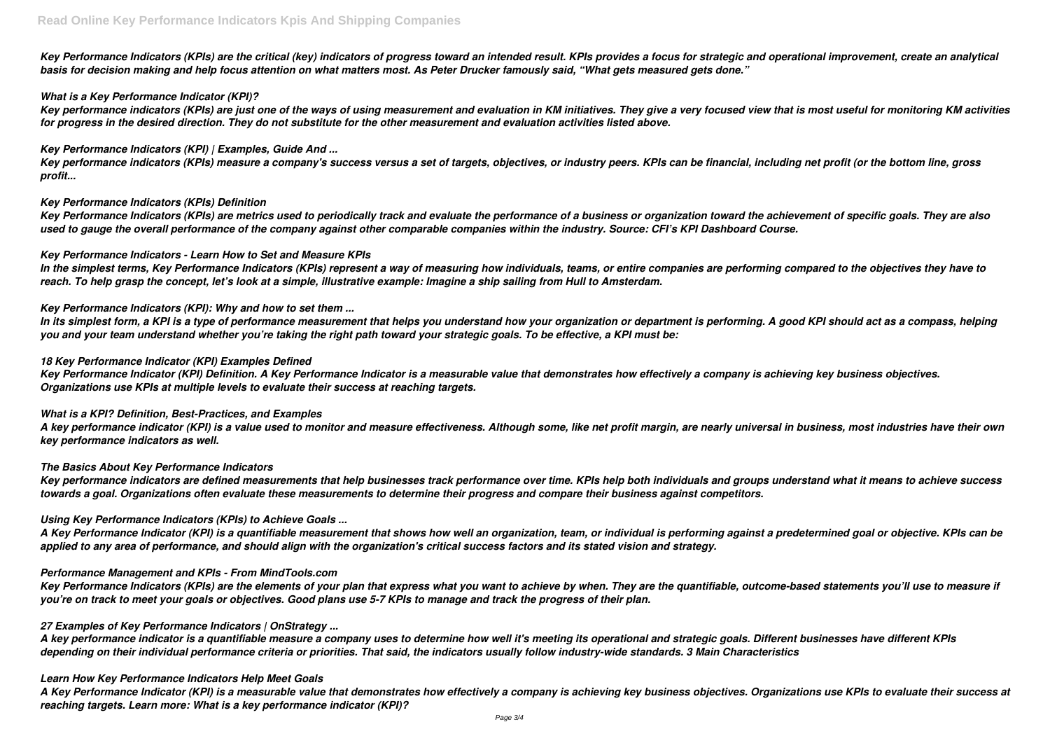*Key Performance Indicators (KPIs) are the critical (key) indicators of progress toward an intended result. KPIs provides a focus for strategic and operational improvement, create an analytical basis for decision making and help focus attention on what matters most. As Peter Drucker famously said, "What gets measured gets done."*

## *What is a Key Performance Indicator (KPI)?*

*Key performance indicators (KPIs) are just one of the ways of using measurement and evaluation in KM initiatives. They give a very focused view that is most useful for monitoring KM activities for progress in the desired direction. They do not substitute for the other measurement and evaluation activities listed above.*

#### *Key Performance Indicators (KPI) | Examples, Guide And ...*

*Key performance indicators (KPIs) measure a company's success versus a set of targets, objectives, or industry peers. KPIs can be financial, including net profit (or the bottom line, gross profit...*

## *Key Performance Indicators (KPIs) Definition*

*Key Performance Indicators (KPIs) are metrics used to periodically track and evaluate the performance of a business or organization toward the achievement of specific goals. They are also used to gauge the overall performance of the company against other comparable companies within the industry. Source: CFI's KPI Dashboard Course.*

## *Key Performance Indicators - Learn How to Set and Measure KPIs*

*In the simplest terms, Key Performance Indicators (KPIs) represent a way of measuring how individuals, teams, or entire companies are performing compared to the objectives they have to reach. To help grasp the concept, let's look at a simple, illustrative example: Imagine a ship sailing from Hull to Amsterdam.*

## *Key Performance Indicators (KPI): Why and how to set them ...*

*In its simplest form, a KPI is a type of performance measurement that helps you understand how your organization or department is performing. A good KPI should act as a compass, helping you and your team understand whether you're taking the right path toward your strategic goals. To be effective, a KPI must be:*

## *18 Key Performance Indicator (KPI) Examples Defined*

*Key Performance Indicator (KPI) Definition. A Key Performance Indicator is a measurable value that demonstrates how effectively a company is achieving key business objectives. Organizations use KPIs at multiple levels to evaluate their success at reaching targets.*

#### *What is a KPI? Definition, Best-Practices, and Examples*

*A key performance indicator (KPI) is a value used to monitor and measure effectiveness. Although some, like net profit margin, are nearly universal in business, most industries have their own key performance indicators as well.*

#### *The Basics About Key Performance Indicators*

*Key performance indicators are defined measurements that help businesses track performance over time. KPIs help both individuals and groups understand what it means to achieve success towards a goal. Organizations often evaluate these measurements to determine their progress and compare their business against competitors.*

#### *Using Key Performance Indicators (KPIs) to Achieve Goals ...*

*A Key Performance Indicator (KPI) is a quantifiable measurement that shows how well an organization, team, or individual is performing against a predetermined goal or objective. KPIs can be applied to any area of performance, and should align with the organization's critical success factors and its stated vision and strategy.*

## *Performance Management and KPIs - From MindTools.com*

*Key Performance Indicators (KPIs) are the elements of your plan that express what you want to achieve by when. They are the quantifiable, outcome-based statements you'll use to measure if you're on track to meet your goals or objectives. Good plans use 5-7 KPIs to manage and track the progress of their plan.*

#### *27 Examples of Key Performance Indicators | OnStrategy ...*

*A key performance indicator is a quantifiable measure a company uses to determine how well it's meeting its operational and strategic goals. Different businesses have different KPIs depending on their individual performance criteria or priorities. That said, the indicators usually follow industry-wide standards. 3 Main Characteristics*

#### *Learn How Key Performance Indicators Help Meet Goals*

*A Key Performance Indicator (KPI) is a measurable value that demonstrates how effectively a company is achieving key business objectives. Organizations use KPIs to evaluate their success at reaching targets. Learn more: What is a key performance indicator (KPI)?*